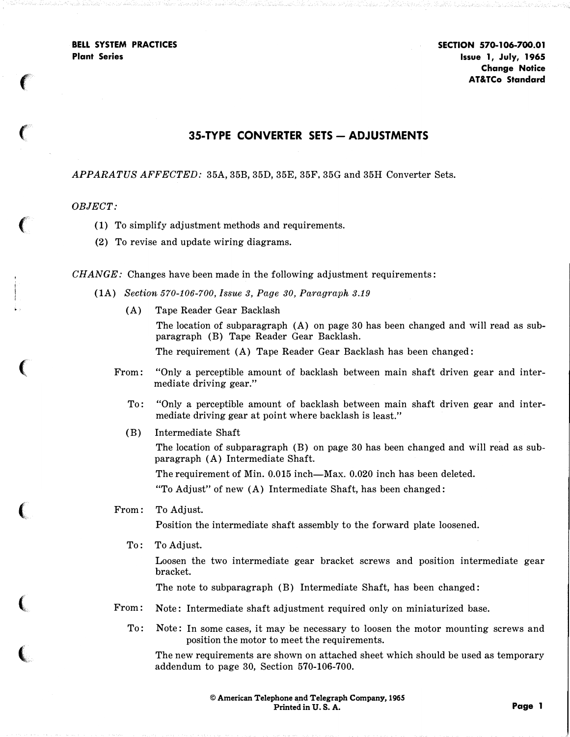BELL SYSTEM PRACTICES Plant Series

SECTION 570-106-700.01 Issue 1, July, 1965 Change Notice AT&TCo Standard

# 35-TYPE CONVERTER SETS- ADJUSTMENTS

APPARATUS AFFECTED: 35A, 35B, 35D, 35E, 35F, 35G and 35H Converter Sets.

OBJECT:

**CONTRACTOR** 

contract the contract of the contract of

- (1) To simplify adjustment methods and requirements.
- (2) To revise and update wiring diagrams.

 $CHANGE$ : Changes have been made in the following adjustment requirements:

- $(1A)$  Section 570-106-700, Issue 3, Page 30, Paragraph 3.19
	- (A) Tape Reader Gear Backlash

The location of subparagraph (A) on page 30 has been changed and will read as subparagraph (B) Tape Reader Gear Backlash.

The requirement (A) Tape Reader Gear Backlash has been changed:

- From: "Only a perceptible amount of backlash between main shaft driven gear and intermediate driving gear."
	- To: "Only a perceptible amount of backlash between main shaft driven gear and intermediate driving gear at point where backlash is least."
	- (B) Intermediate Shaft

The location of subparagraph (B) on page 30 has been changed and will read as subparagraph (A) Intermediate Shaft.

The requirement of Min. 0.015 inch—Max. 0.020 inch has been deleted.

"To Adjust" of new (A) Intermediate Shaft, has been changed:

From: To Adjust.

Position the intermediate shaft assembly to the forward plate loosened.

To: To Adjust.

Loosen the two intermediate gear bracket screws and position intermediate gear bracket.

The note to subparagraph (B) Intermediate Shaft, has been changed:

- From: Note: Intermediate shaft adjustment required only on miniaturized base.
	- To: Note: In some cases, it may be necessary to loosen the motor mounting screws and position the motor to meet the requirements.

The new requirements are shown on attached sheet which should be used as temporary addendum to page 30, Section 570-106-700.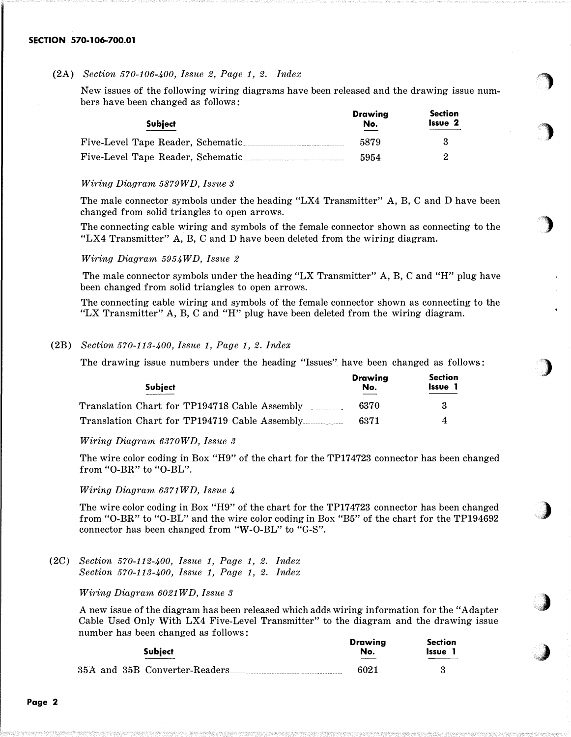### $(2A)$  Section 570-106-400, Issue 2, Page 1, 2. Index

New issues of the following wiring diagrams have been released and the drawing issue numbers have been changed as follows:

)

'l

)

)

 $\overline{\phantom{a}}$ 

\_)

| Subject                            | Drawina<br>No. | Section<br><b>Issue 2</b> |
|------------------------------------|----------------|---------------------------|
| Five-Level Tape Reader, Schematic  | 5879           |                           |
| Five-Level Tape Reader, Schematic. | 5954           |                           |

#### Wiring Diagram 5879WD, Issue 3

The male connector symbols under the heading "LX4 Transmitter" A, B, C and D have been changed from solid triangles to open arrows.

The connecting cable wiring and symbols of the female connector shown as connecting to the "LX4 Transmitter" A, B, C and D have been deleted from the wiring diagram.

### Wiring Diagram 5954WD, Issue 2

The male connector symbols under the heading "LX Transmitter" A, B, C and "H" plug have been changed from solid triangles to open arrows.

The connecting cable wiring and symbols of the female connector shown as connecting to the "LX Transmitter" A, B, C and "H" plug have been deleted from the wiring diagram.

#### (2B) Section 570-113-400, Issue 1, Page 1, 2. Index

The drawing issue numbers under the heading "Issues" have been changed as follows:

| Subject                                       | Drawina<br>No. | <b>Section</b><br><b>Issue 1</b> |
|-----------------------------------------------|----------------|----------------------------------|
| Translation Chart for TP194718 Cable Assembly | 6370           | З.                               |
| Translation Chart for TP194719 Cable Assembly | 6371           |                                  |

Wiring Diagram 6370WD, Issue 3

The wire color coding in Box "H9" of the chart for the TP17 4723 connector has been changed from "0-BR" to "0-BL".

Wiring Diagram 6371WD, Issue 4

The wire color coding in Box "H9" of the chart for the TP17 4723 connector has been changed from "O-BR" to "O-BL" and the wire color coding in Box "B5" of the chart for the TP194692 connector has been changed from "W-0-BL" to "G-S".

(2C) Section 570-112-400, Issue 1, Page 1, 2. Index Section 570-113-400, Issue 1, Page 1, 2. Index

#### Wiring Diagram 6021WD, Issue 3

A new issue of the diagram has been released which adds wiring information for the "Adapter Cable Used Only With LX4 Five-Level Transmitter" to the diagram and the drawing issue number has been changed as follows: Drawing

| <b>Subject</b> |  | Drawing<br>No.                | Section<br>Issue 1 |  |
|----------------|--|-------------------------------|--------------------|--|
|                |  | 35A and 35B Converter-Readers | 6021               |  |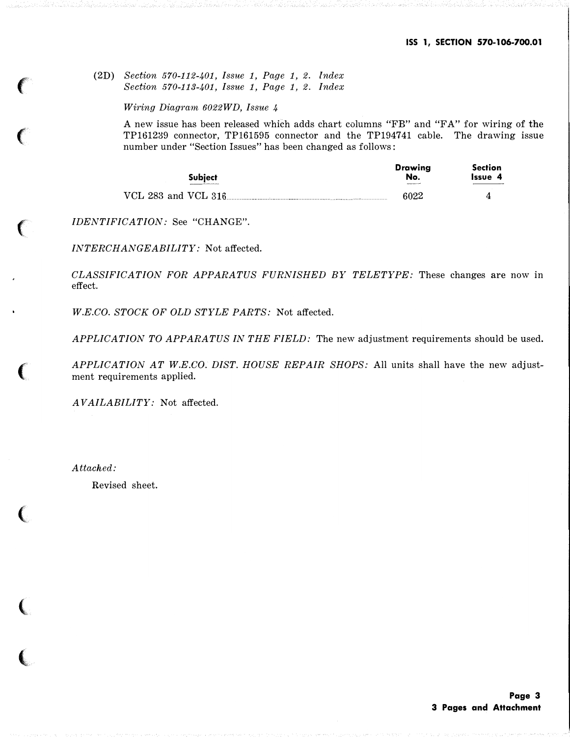(2D) Section 570-112-401, Issue 1, Page 1, 2. lndex Section 570-113-401, Issue 1, Page 1, 2. Index

Wiring Diagram 6022WD, Issue 4

A new issue has been released which adds chart columns "FB" and "FA" for wiring of the TP161239 connector, TP161595 connector and the TP194741 cable. The drawing issue number under "Section Issues" has been changed as follows:

|                     | <b>Subject</b> | Drawing<br>No.<br><b>Southern Associate</b> | Section<br>Issue 4 |
|---------------------|----------------|---------------------------------------------|--------------------|
| VCL 283 and VCL 316 |                | 6022                                        |                    |

IDENTIFICATION: See "CHANGE".

INTERCHANGEABILITY: Not affected.

CLASSIFICATION FOR APPARATUS FURNISHED BY TELETYPE: These changes are now in effect.

W.E.CO. STOCK OF OLD STYLE PARTS: Not affected.

APPLICATION TO APPARATUS IN THE FIELD: The new adjustment requirements should be used.

APPLICATION AT W.E.CO. DIST. HOUSE REPAIR SHOPS: All units shall have the new adjustment requirements applied.

AVAILABILITY: Not affected.

Attached:

 $\sim$   $\sim$   $\sim$ 

 ${\bf r}$ 

Revised sheet.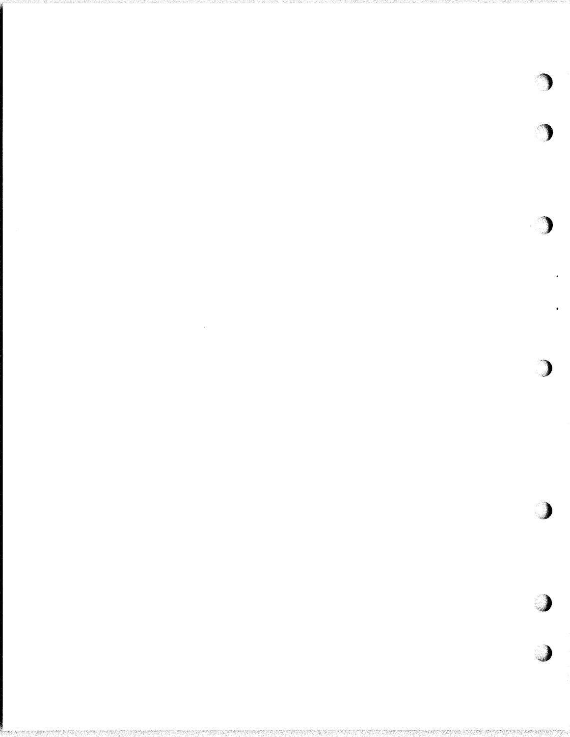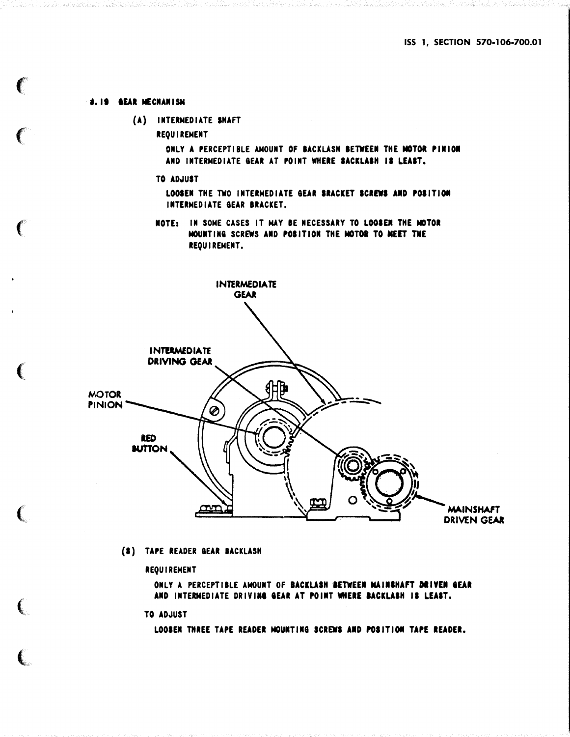# **i. IS GEAR MECHANISM**

 $\left($ 

 $\big($ 

f

(

 $\left(\right.$ 

 $\left($ 

 $\big($ 

- (A) INTERMEDIATE SHAFT
	- REQUIREMENT

ONLY A PERCEPTIBLE AMOUNT OF BACKLASH BETWEEN THE MOTOR PINION AND INTERMEDIATE GEAR AT POINT WHERE SACKLASH IS LEAST.

TO ADJUST

LOOSEN THE TWO INTERMEDIATE GEAR SRACKET SCREWS AND POSITION INTERMEDIATE GEAR BRACKET.

NOTE: IN SOME CASES IT MAY BE NECESSARY TO LOOSEN THE MOTOR MOUNTING SCREWS AND POSITION THE MOTOR TO MEET THE REQUIREMENT.



## (8) TAPE READER GEAR BACKLASH

## REQUIREMENT

ONLY A PERCEPTIBLE AMOUNT OF BACKLASH BETWEEN MAINSHAFT DRIVEN GEAR AND INTERMEDIATE DRIVING GEAR AT POINT WHERE BACKLASH IS LEAST.

TO ADJUST

LOOSEN THREE TAPE READER MOUNTING SCREWS AND POSITION TAPE READER.